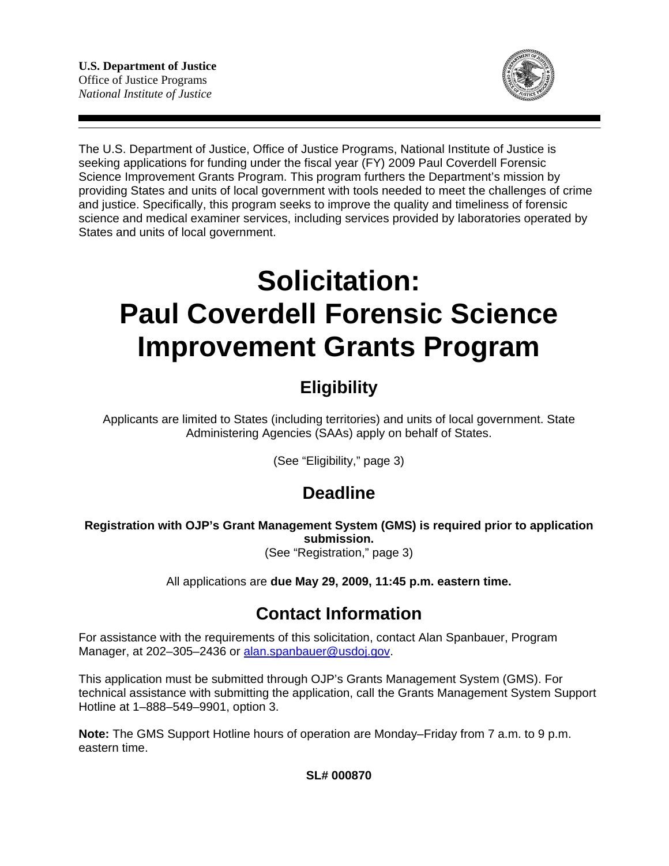

The U.S. Department of Justice, Office of Justice Programs, National Institute of Justice is seeking applications for funding under the fiscal year (FY) 2009 Paul Coverdell Forensic Science Improvement Grants Program. This program furthers the Department's mission by providing States and units of local government with tools needed to meet the challenges of crime and justice. Specifically, this program seeks to improve the quality and timeliness of forensic science and medical examiner services, including services provided by laboratories operated by States and units of local government.

# **Solicitation: Paul Coverdell Forensic Science Improvement Grants Program**

# **Eligibility**

Applicants are limited to States (including territories) and units of local government. State Administering Agencies (SAAs) apply on behalf of States.

(See "Eligibility," page 3)

## **Deadline**

**Registration with OJP's Grant Management System (GMS) is required prior to application submission.**  (See "Registration," page 3)

All applications are **due May 29, 2009, 11:45 p.m. eastern time.** 

### **Contact Information**

For assistance with the requirements of this solicitation, contact Alan Spanbauer, Program Manager, at 202–305–2436 or alan.spanbauer@usdoj.gov.

This application must be submitted through OJP's Grants Management System (GMS). For technical assistance with submitting the application, call the Grants Management System Support Hotline at 1–888–549–9901, option 3.

**Note:** The GMS Support Hotline hours of operation are Monday–Friday from 7 a.m. to 9 p.m. eastern time.

**SL# 000870**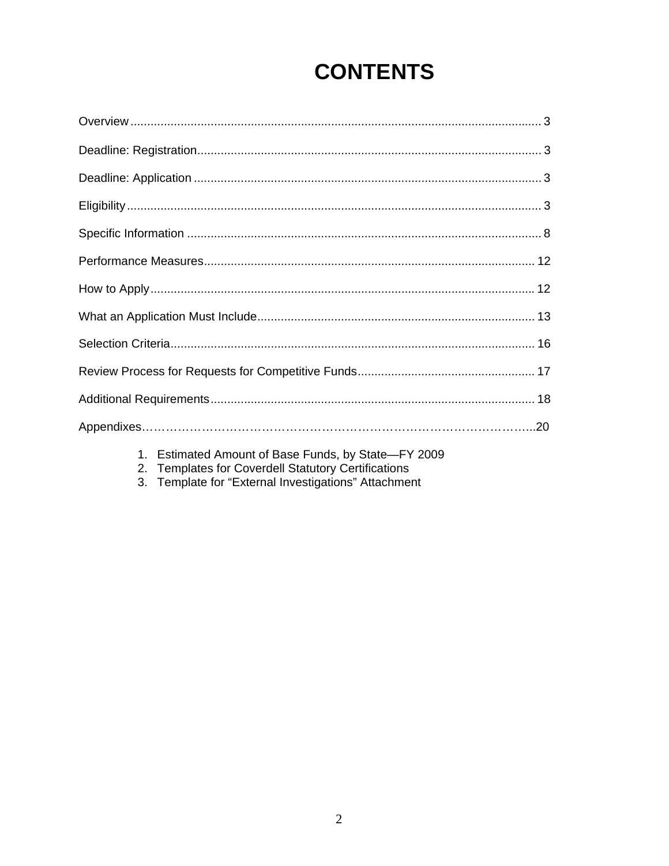# **CONTENTS**

- 1. Estimated Amount of Base Funds, by State—FY 2009<br>2. Templates for Coverdell Statutory Certifications<br>3. Template for "External Investigations" Attachment
- 
-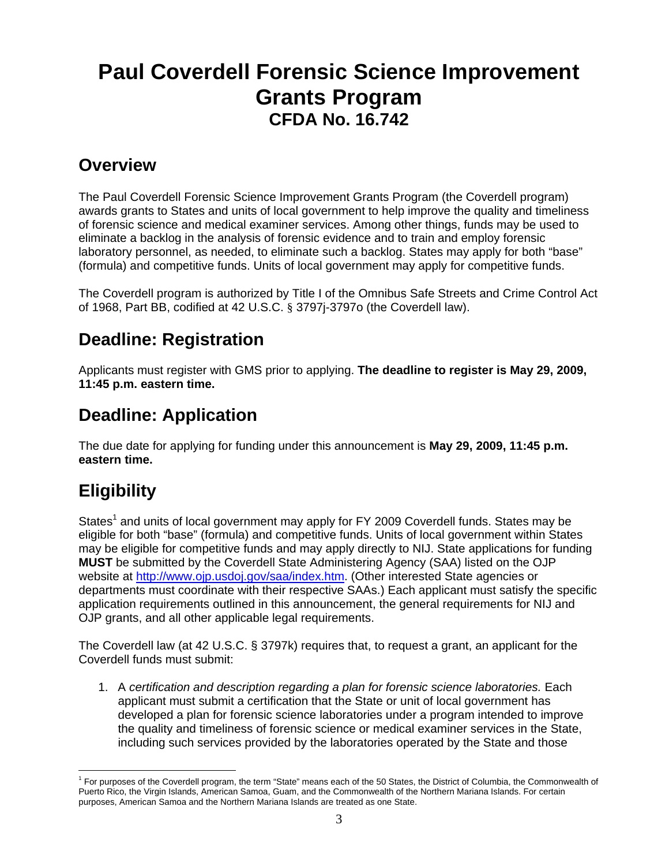# <span id="page-2-0"></span>**Paul Coverdell Forensic Science Improvement Grants Program CFDA No. 16.742**

### **Overview**

The Paul Coverdell Forensic Science Improvement Grants Program (the Coverdell program) awards grants to States and units of local government to help improve the quality and timeliness of forensic science and medical examiner services. Among other things, funds may be used to eliminate a backlog in the analysis of forensic evidence and to train and employ forensic laboratory personnel, as needed, to eliminate such a backlog. States may apply for both "base" (formula) and competitive funds. Units of local government may apply for competitive funds.

The Coverdell program is authorized by Title I of the Omnibus Safe Streets and Crime Control Act of 1968, Part BB, codified at 42 U.S.C. § 3797j-3797o (the Coverdell law).

## **Deadline: Registration**

Applicants must register with GMS prior to applying. **The deadline to register is May 29, 2009, 11:45 p.m. eastern time.** 

### **Deadline: Application**

The due date for applying for funding under this announcement is **May 29, 2009, 11:45 p.m. eastern time.** 

## **Eligibility**

States<sup>1</sup> and units of local government may apply for FY 2009 Coverdell funds. States may be eligible for both "base" (formula) and competitive funds. Units of local government within States may be eligible for competitive funds and may apply directly to NIJ. State applications for funding **MUST** be submitted by the Coverdell State Administering Agency (SAA) listed on the OJP website at http://www.ojp.usdoj.gov/saa/index.htm. (Other interested State agencies or departments must coordinate with their respective SAAs.) Each applicant must satisfy the specific application requirements outlined in this announcement, the general requirements for NIJ and OJP grants, and all other applicable legal requirements.

The Coverdell law (at 42 U.S.C. § 3797k) requires that, to request a grant, an applicant for the Coverdell funds must submit:

1. A *certification and description regarding a plan for forensic science laboratories.* Each applicant must submit a certification that the State or unit of local government has developed a plan for forensic science laboratories under a program intended to improve the quality and timeliness of forensic science or medical examiner services in the State, including such services provided by the laboratories operated by the State and those

<sup>&</sup>lt;sup>1</sup> For purposes of the Coverdell program, the term "State" means each of the 50 States, the District of Columbia, the Commonwealth of Puerto Rico, the Virgin Islands, American Samoa, Guam, and the Commonwealth of the Northern Mariana Islands. For certain purposes, American Samoa and the Northern Mariana Islands are treated as one State.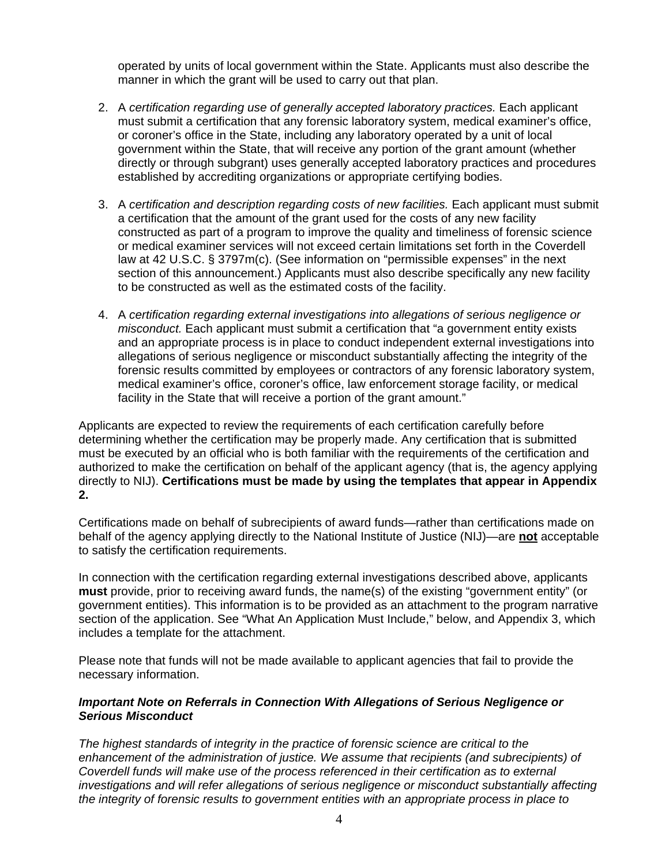operated by units of local government within the State. Applicants must also describe the manner in which the grant will be used to carry out that plan.

- 2. A *certification regarding use of generally accepted laboratory practices.* Each applicant must submit a certification that any forensic laboratory system, medical examiner's office, or coroner's office in the State, including any laboratory operated by a unit of local government within the State, that will receive any portion of the grant amount (whether directly or through subgrant) uses generally accepted laboratory practices and procedures established by accrediting organizations or appropriate certifying bodies.
- 3. A *certification and description regarding costs of new facilities.* Each applicant must submit a certification that the amount of the grant used for the costs of any new facility constructed as part of a program to improve the quality and timeliness of forensic science or medical examiner services will not exceed certain limitations set forth in the Coverdell law at 42 U.S.C. § 3797m(c). (See information on "permissible expenses" in the next section of this announcement.) Applicants must also describe specifically any new facility to be constructed as well as the estimated costs of the facility.
- 4. A *certification regarding external investigations into allegations of serious negligence or misconduct.* Each applicant must submit a certification that "a government entity exists and an appropriate process is in place to conduct independent external investigations into allegations of serious negligence or misconduct substantially affecting the integrity of the forensic results committed by employees or contractors of any forensic laboratory system, medical examiner's office, coroner's office, law enforcement storage facility, or medical facility in the State that will receive a portion of the grant amount."

Applicants are expected to review the requirements of each certification carefully before determining whether the certification may be properly made. Any certification that is submitted must be executed by an official who is both familiar with the requirements of the certification and authorized to make the certification on behalf of the applicant agency (that is, the agency applying directly to NIJ). **Certifications must be made by using the templates that appear in Appendix 2.** 

Certifications made on behalf of subrecipients of award funds—rather than certifications made on behalf of the agency applying directly to the National Institute of Justice (NIJ)—are **not** acceptable to satisfy the certification requirements.

In connection with the certification regarding external investigations described above, applicants **must** provide, prior to receiving award funds, the name(s) of the existing "government entity" (or government entities). This information is to be provided as an attachment to the program narrative section of the application. See "What An Application Must Include," below, and Appendix 3, which includes a template for the attachment.

Please note that funds will not be made available to applicant agencies that fail to provide the necessary information.

#### *Important Note on Referrals in Connection With Allegations of Serious Negligence or Serious Misconduct*

*The highest standards of integrity in the practice of forensic science are critical to the enhancement of the administration of justice. We assume that recipients (and subrecipients) of Coverdell funds will make use of the process referenced in their certification as to external investigations and will refer allegations of serious negligence or misconduct substantially affecting the integrity of forensic results to government entities with an appropriate process in place to*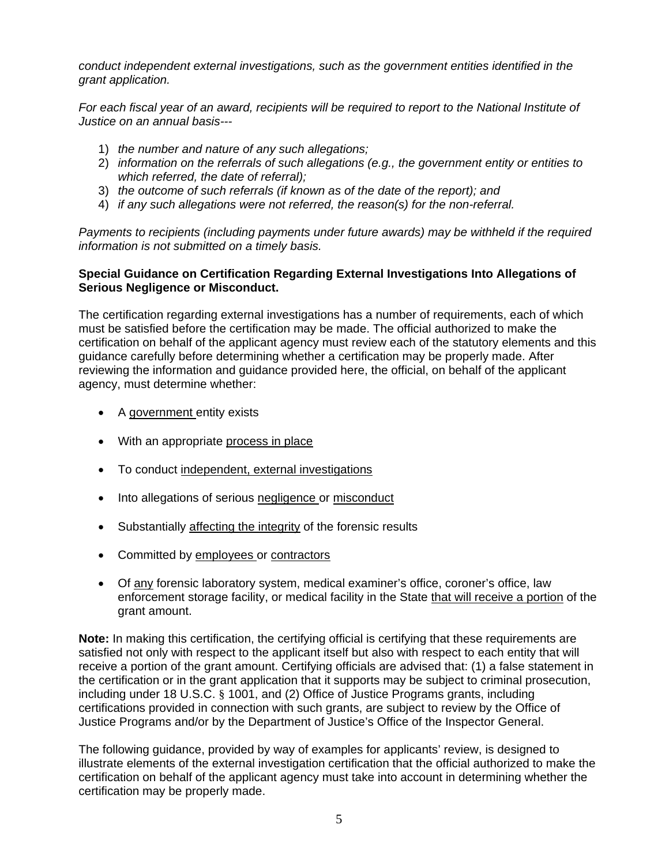*conduct independent external investigations, such as the government entities identified in the grant application.* 

*For each fiscal year of an award, recipients will be required to report to the National Institute of Justice on an annual basis---*

- 1) *the number and nature of any such allegations;*
- 2) *information on the referrals of such allegations (e.g., the government entity or entities to which referred, the date of referral);*
- 3) *the outcome of such referrals (if known as of the date of the report); and*
- 4) *if any such allegations were not referred, the reason(s) for the non-referral.*

*Payments to recipients (including payments under future awards) may be withheld if the required information is not submitted on a timely basis.* 

#### **Special Guidance on Certification Regarding External Investigations Into Allegations of Serious Negligence or Misconduct.**

The certification regarding external investigations has a number of requirements, each of which must be satisfied before the certification may be made. The official authorized to make the certification on behalf of the applicant agency must review each of the statutory elements and this guidance carefully before determining whether a certification may be properly made. After reviewing the information and guidance provided here, the official, on behalf of the applicant agency, must determine whether:

- A government entity exists
- With an appropriate process in place
- To conduct independent, external investigations
- Into allegations of serious negligence or misconduct
- Substantially affecting the integrity of the forensic results
- • Committed by employees or contractors
- Of any forensic laboratory system, medical examiner's office, coroner's office, law enforcement storage facility, or medical facility in the State that will receive a portion of the grant amount.

**Note:** In making this certification, the certifying official is certifying that these requirements are satisfied not only with respect to the applicant itself but also with respect to each entity that will receive a portion of the grant amount. Certifying officials are advised that: (1) a false statement in the certification or in the grant application that it supports may be subject to criminal prosecution, including under 18 U.S.C. § 1001, and (2) Office of Justice Programs grants, including certifications provided in connection with such grants, are subject to review by the Office of Justice Programs and/or by the Department of Justice's Office of the Inspector General.

The following guidance, provided by way of examples for applicants' review, is designed to illustrate elements of the external investigation certification that the official authorized to make the certification on behalf of the applicant agency must take into account in determining whether the certification may be properly made.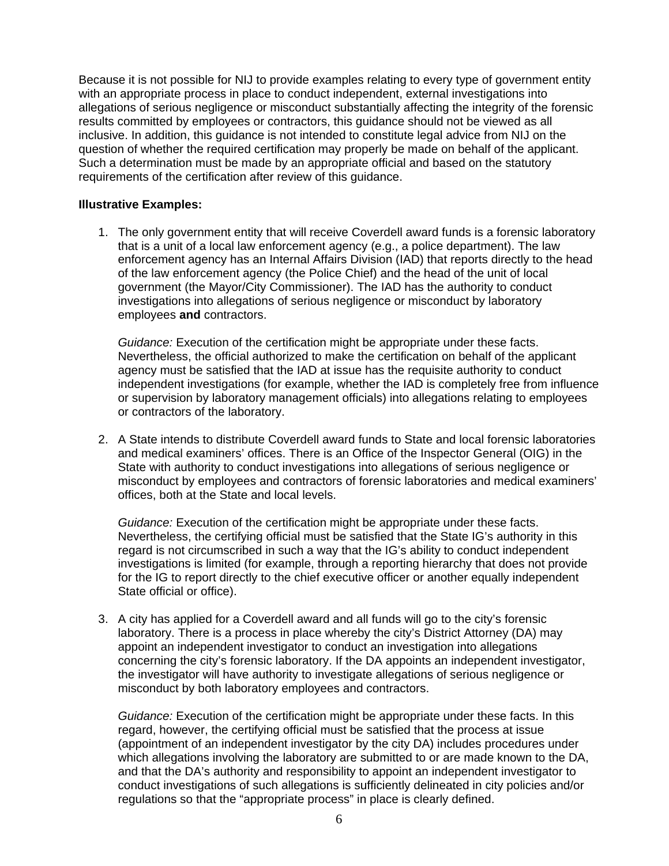Because it is not possible for NIJ to provide examples relating to every type of government entity with an appropriate process in place to conduct independent, external investigations into allegations of serious negligence or misconduct substantially affecting the integrity of the forensic results committed by employees or contractors, this guidance should not be viewed as all inclusive. In addition, this guidance is not intended to constitute legal advice from NIJ on the question of whether the required certification may properly be made on behalf of the applicant. Such a determination must be made by an appropriate official and based on the statutory requirements of the certification after review of this guidance.

#### **Illustrative Examples:**

1. The only government entity that will receive Coverdell award funds is a forensic laboratory that is a unit of a local law enforcement agency (e.g., a police department). The law enforcement agency has an Internal Affairs Division (IAD) that reports directly to the head of the law enforcement agency (the Police Chief) and the head of the unit of local government (the Mayor/City Commissioner). The IAD has the authority to conduct investigations into allegations of serious negligence or misconduct by laboratory employees **and** contractors.

*Guidance:* Execution of the certification might be appropriate under these facts. Nevertheless, the official authorized to make the certification on behalf of the applicant agency must be satisfied that the IAD at issue has the requisite authority to conduct independent investigations (for example, whether the IAD is completely free from influence or supervision by laboratory management officials) into allegations relating to employees or contractors of the laboratory.

2. A State intends to distribute Coverdell award funds to State and local forensic laboratories and medical examiners' offices. There is an Office of the Inspector General (OIG) in the State with authority to conduct investigations into allegations of serious negligence or misconduct by employees and contractors of forensic laboratories and medical examiners' offices, both at the State and local levels.

*Guidance:* Execution of the certification might be appropriate under these facts. Nevertheless, the certifying official must be satisfied that the State IG's authority in this regard is not circumscribed in such a way that the IG's ability to conduct independent investigations is limited (for example, through a reporting hierarchy that does not provide for the IG to report directly to the chief executive officer or another equally independent State official or office).

3. A city has applied for a Coverdell award and all funds will go to the city's forensic laboratory. There is a process in place whereby the city's District Attorney (DA) may appoint an independent investigator to conduct an investigation into allegations concerning the city's forensic laboratory. If the DA appoints an independent investigator, the investigator will have authority to investigate allegations of serious negligence or misconduct by both laboratory employees and contractors.

 *Guidance:* Execution of the certification might be appropriate under these facts. In this regard, however, the certifying official must be satisfied that the process at issue (appointment of an independent investigator by the city DA) includes procedures under which allegations involving the laboratory are submitted to or are made known to the DA, and that the DA's authority and responsibility to appoint an independent investigator to conduct investigations of such allegations is sufficiently delineated in city policies and/or regulations so that the "appropriate process" in place is clearly defined.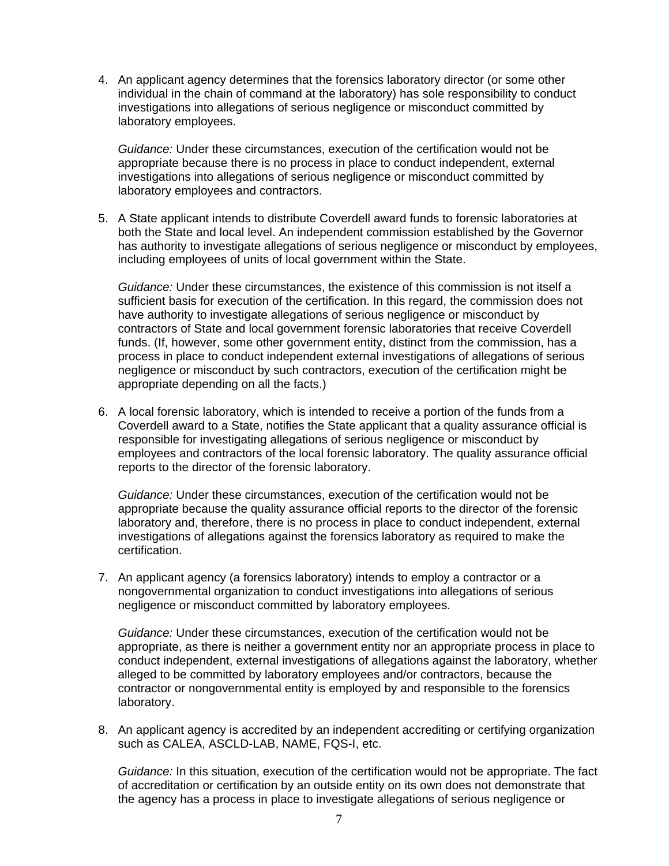4. An applicant agency determines that the forensics laboratory director (or some other individual in the chain of command at the laboratory) has sole responsibility to conduct investigations into allegations of serious negligence or misconduct committed by laboratory employees.

*Guidance:* Under these circumstances, execution of the certification would not be appropriate because there is no process in place to conduct independent, external investigations into allegations of serious negligence or misconduct committed by laboratory employees and contractors.

5. A State applicant intends to distribute Coverdell award funds to forensic laboratories at both the State and local level. An independent commission established by the Governor has authority to investigate allegations of serious negligence or misconduct by employees, including employees of units of local government within the State.

*Guidance:* Under these circumstances, the existence of this commission is not itself a sufficient basis for execution of the certification. In this regard, the commission does not have authority to investigate allegations of serious negligence or misconduct by contractors of State and local government forensic laboratories that receive Coverdell funds. (If, however, some other government entity, distinct from the commission, has a process in place to conduct independent external investigations of allegations of serious negligence or misconduct by such contractors, execution of the certification might be appropriate depending on all the facts.)

6. A local forensic laboratory, which is intended to receive a portion of the funds from a Coverdell award to a State, notifies the State applicant that a quality assurance official is responsible for investigating allegations of serious negligence or misconduct by employees and contractors of the local forensic laboratory. The quality assurance official reports to the director of the forensic laboratory.

*Guidance:* Under these circumstances, execution of the certification would not be appropriate because the quality assurance official reports to the director of the forensic laboratory and, therefore, there is no process in place to conduct independent, external investigations of allegations against the forensics laboratory as required to make the certification.

7. An applicant agency (a forensics laboratory) intends to employ a contractor or a nongovernmental organization to conduct investigations into allegations of serious negligence or misconduct committed by laboratory employees.

*Guidance:* Under these circumstances, execution of the certification would not be appropriate, as there is neither a government entity nor an appropriate process in place to conduct independent, external investigations of allegations against the laboratory, whether alleged to be committed by laboratory employees and/or contractors, because the contractor or nongovernmental entity is employed by and responsible to the forensics laboratory.

8. An applicant agency is accredited by an independent accrediting or certifying organization such as CALEA, ASCLD-LAB, NAME, FQS-I, etc.

*Guidance:* In this situation, execution of the certification would not be appropriate. The fact of accreditation or certification by an outside entity on its own does not demonstrate that the agency has a process in place to investigate allegations of serious negligence or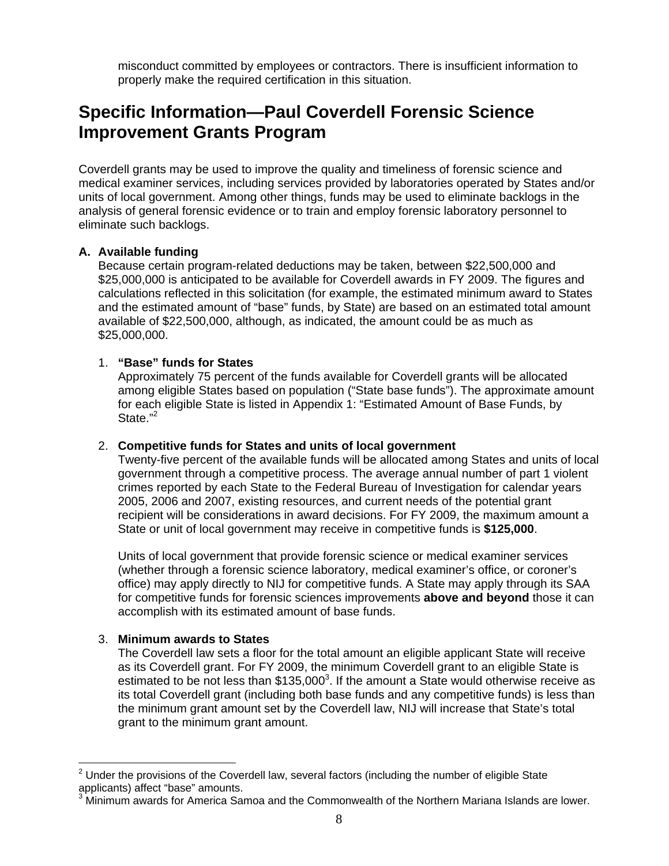misconduct committed by employees or contractors. There is insufficient information to properly make the required certification in this situation.

### <span id="page-7-0"></span>**Specific Information—Paul Coverdell Forensic Science Improvement Grants Program**

Coverdell grants may be used to improve the quality and timeliness of forensic science and medical examiner services, including services provided by laboratories operated by States and/or units of local government. Among other things, funds may be used to eliminate backlogs in the analysis of general forensic evidence or to train and employ forensic laboratory personnel to eliminate such backlogs.

#### **A. Available funding**

Because certain program-related deductions may be taken, between \$22,500,000 and \$25,000,000 is anticipated to be available for Coverdell awards in FY 2009. The figures and calculations reflected in this solicitation (for example, the estimated minimum award to States and the estimated amount of "base" funds, by State) are based on an estimated total amount available of \$22,500,000, although, as indicated, the amount could be as much as \$25,000,000.

#### 1. **"Base" funds for States**

Approximately 75 percent of the funds available for Coverdell grants will be allocated among eligible States based on population ("State base funds"). The approximate amount for each eligible State is listed in Appendix 1: "Estimated Amount of Base Funds, by State."<sup>2</sup>

#### 2. **Competitive funds for States and units of local government**

Twenty-five percent of the available funds will be allocated among States and units of local government through a competitive process. The average annual number of part 1 violent crimes reported by each State to the Federal Bureau of Investigation for calendar years 2005, 2006 and 2007, existing resources, and current needs of the potential grant recipient will be considerations in award decisions. For FY 2009, the maximum amount a State or unit of local government may receive in competitive funds is **\$125,000**.

Units of local government that provide forensic science or medical examiner services (whether through a forensic science laboratory, medical examiner's office, or coroner's office) may apply directly to NIJ for competitive funds. A State may apply through its SAA for competitive funds for forensic sciences improvements **above and beyond** those it can accomplish with its estimated amount of base funds.

#### 3. **Minimum awards to States**

The Coverdell law sets a floor for the total amount an eligible applicant State will receive as its Coverdell grant. For FY 2009, the minimum Coverdell grant to an eligible State is estimated to be not less than  $$135,000^3$ . If the amount a State would otherwise receive as its total Coverdell grant (including both base funds and any competitive funds) is less than the minimum grant amount set by the Coverdell law, NIJ will increase that State's total grant to the minimum grant amount.

 $2$  Under the provisions of the Coverdell law, several factors (including the number of eligible State applicants) affect "base" amounts. 3

Minimum awards for America Samoa and the Commonwealth of the Northern Mariana Islands are lower.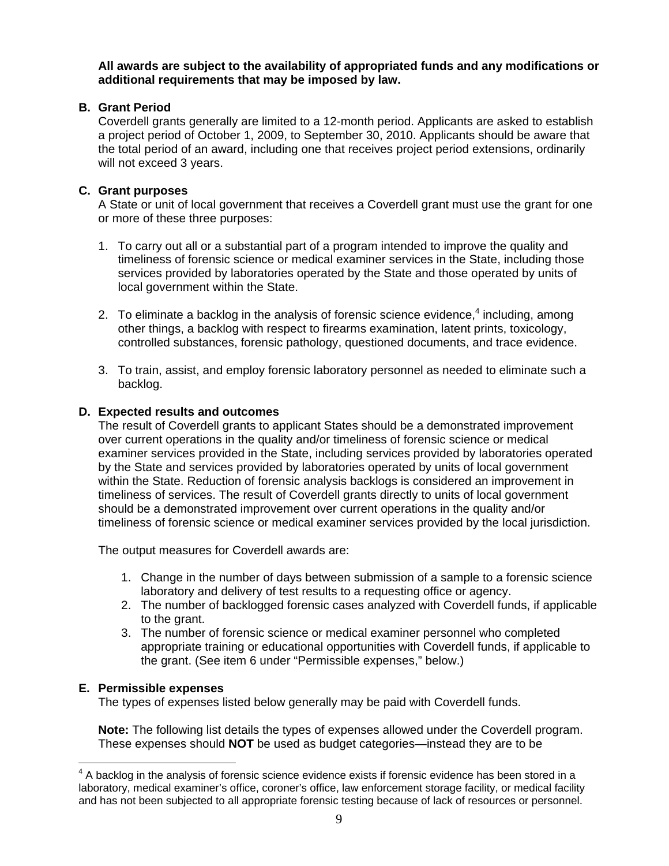**All awards are subject to the availability of appropriated funds and any modifications or additional requirements that may be imposed by law.** 

#### **B. Grant Period**

Coverdell grants generally are limited to a 12-month period. Applicants are asked to establish a project period of October 1, 2009, to September 30, 2010. Applicants should be aware that the total period of an award, including one that receives project period extensions, ordinarily will not exceed 3 years.

#### **C. Grant purposes**

A State or unit of local government that receives a Coverdell grant must use the grant for one or more of these three purposes:

- 1. To carry out all or a substantial part of a program intended to improve the quality and timeliness of forensic science or medical examiner services in the State, including those services provided by laboratories operated by the State and those operated by units of local government within the State.
- 2. To eliminate a backlog in the analysis of forensic science evidence, $4$  including, among other things, a backlog with respect to firearms examination, latent prints, toxicology, controlled substances, forensic pathology, questioned documents, and trace evidence.
- 3. To train, assist, and employ forensic laboratory personnel as needed to eliminate such a backlog.

#### **D. Expected results and outcomes**

The result of Coverdell grants to applicant States should be a demonstrated improvement over current operations in the quality and/or timeliness of forensic science or medical examiner services provided in the State, including services provided by laboratories operated by the State and services provided by laboratories operated by units of local government within the State. Reduction of forensic analysis backlogs is considered an improvement in timeliness of services. The result of Coverdell grants directly to units of local government should be a demonstrated improvement over current operations in the quality and/or timeliness of forensic science or medical examiner services provided by the local jurisdiction.

The output measures for Coverdell awards are:

- 1. Change in the number of days between submission of a sample to a forensic science laboratory and delivery of test results to a requesting office or agency.
- 2. The number of backlogged forensic cases analyzed with Coverdell funds, if applicable to the grant.
- 3. The number of forensic science or medical examiner personnel who completed appropriate training or educational opportunities with Coverdell funds, if applicable to the grant. (See item 6 under "Permissible expenses," below.)

#### **E. Permissible expenses**

The types of expenses listed below generally may be paid with Coverdell funds.

**Note:** The following list details the types of expenses allowed under the Coverdell program. These expenses should **NOT** be used as budget categories—instead they are to be

 $4$  A backlog in the analysis of forensic science evidence exists if forensic evidence has been stored in a laboratory, medical examiner's office, coroner's office, law enforcement storage facility, or medical facility and has not been subjected to all appropriate forensic testing because of lack of resources or personnel.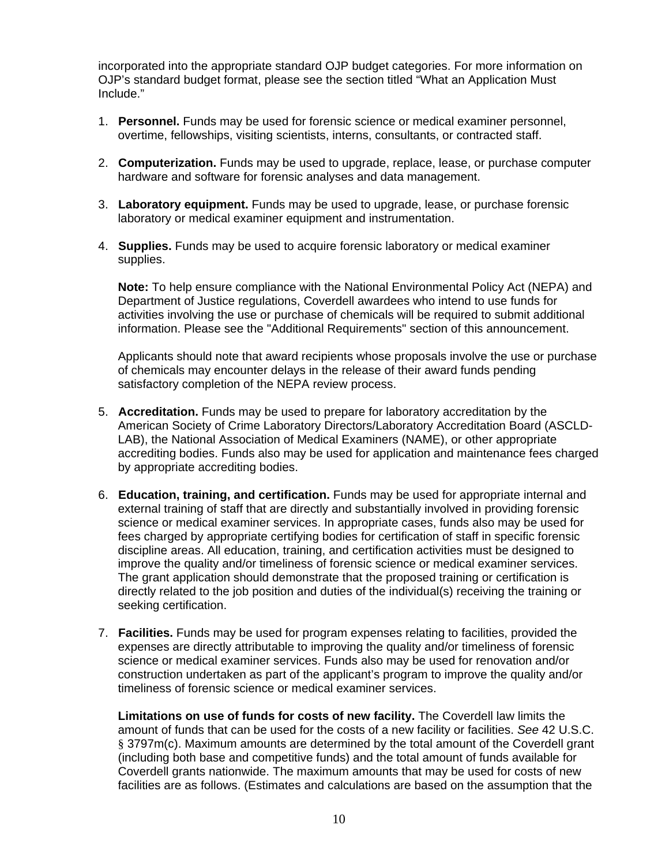incorporated into the appropriate standard OJP budget categories. For more information on OJP's standard budget format, please see the section titled "What an Application Must Include."

- 1. **Personnel.** Funds may be used for forensic science or medical examiner personnel, overtime, fellowships, visiting scientists, interns, consultants, or contracted staff.
- 2. **Computerization.** Funds may be used to upgrade, replace, lease, or purchase computer hardware and software for forensic analyses and data management.
- 3. **Laboratory equipment.** Funds may be used to upgrade, lease, or purchase forensic laboratory or medical examiner equipment and instrumentation.
- 4. **Supplies.** Funds may be used to acquire forensic laboratory or medical examiner supplies.

**Note:** To help ensure compliance with the National Environmental Policy Act (NEPA) and Department of Justice regulations, Coverdell awardees who intend to use funds for activities involving the use or purchase of chemicals will be required to submit additional information. Please see the "Additional Requirements" section of this announcement.

Applicants should note that award recipients whose proposals involve the use or purchase of chemicals may encounter delays in the release of their award funds pending satisfactory completion of the NEPA review process.

- 5. **Accreditation.** Funds may be used to prepare for laboratory accreditation by the American Society of Crime Laboratory Directors/Laboratory Accreditation Board (ASCLD-LAB), the National Association of Medical Examiners (NAME), or other appropriate accrediting bodies. Funds also may be used for application and maintenance fees charged by appropriate accrediting bodies.
- 6. **Education, training, and certification.** Funds may be used for appropriate internal and external training of staff that are directly and substantially involved in providing forensic science or medical examiner services. In appropriate cases, funds also may be used for fees charged by appropriate certifying bodies for certification of staff in specific forensic discipline areas. All education, training, and certification activities must be designed to improve the quality and/or timeliness of forensic science or medical examiner services. The grant application should demonstrate that the proposed training or certification is directly related to the job position and duties of the individual(s) receiving the training or seeking certification.
- 7. **Facilities.** Funds may be used for program expenses relating to facilities, provided the expenses are directly attributable to improving the quality and/or timeliness of forensic science or medical examiner services. Funds also may be used for renovation and/or construction undertaken as part of the applicant's program to improve the quality and/or timeliness of forensic science or medical examiner services.

**Limitations on use of funds for costs of new facility.** The Coverdell law limits the amount of funds that can be used for the costs of a new facility or facilities. *See* 42 U.S.C. § 3797m(c). Maximum amounts are determined by the total amount of the Coverdell grant (including both base and competitive funds) and the total amount of funds available for Coverdell grants nationwide. The maximum amounts that may be used for costs of new facilities are as follows. (Estimates and calculations are based on the assumption that the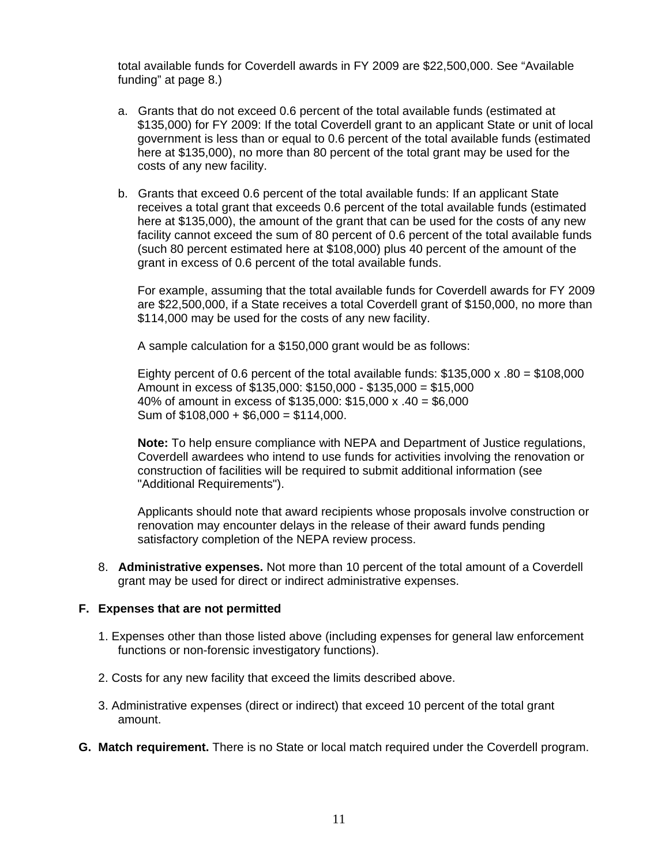total available funds for Coverdell awards in FY 2009 are \$22,500,000. See "Available funding" at page 8.)

- a. Grants that do not exceed 0.6 percent of the total available funds (estimated at \$135,000) for FY 2009: If the total Coverdell grant to an applicant State or unit of local government is less than or equal to 0.6 percent of the total available funds (estimated here at \$135,000), no more than 80 percent of the total grant may be used for the costs of any new facility.
- b. Grants that exceed 0.6 percent of the total available funds: If an applicant State receives a total grant that exceeds 0.6 percent of the total available funds (estimated here at \$135,000), the amount of the grant that can be used for the costs of any new facility cannot exceed the sum of 80 percent of 0.6 percent of the total available funds (such 80 percent estimated here at \$108,000) plus 40 percent of the amount of the grant in excess of 0.6 percent of the total available funds.

For example, assuming that the total available funds for Coverdell awards for FY 2009 are \$22,500,000, if a State receives a total Coverdell grant of \$150,000, no more than \$114,000 may be used for the costs of any new facility.

A sample calculation for a \$150,000 grant would be as follows:

Eighty percent of 0.6 percent of the total available funds:  $$135,000 \times 0.80 = $108,000$ Amount in excess of \$135,000: \$150,000 - \$135,000 = \$15,000 40% of amount in excess of \$135,000: \$15,000 x .40 = \$6,000 Sum of  $$108,000 + $6,000 = $114,000$ .

**Note:** To help ensure compliance with NEPA and Department of Justice regulations, Coverdell awardees who intend to use funds for activities involving the renovation or construction of facilities will be required to submit additional information (see "Additional Requirements").

Applicants should note that award recipients whose proposals involve construction or renovation may encounter delays in the release of their award funds pending satisfactory completion of the NEPA review process.

8. **Administrative expenses.** Not more than 10 percent of the total amount of a Coverdell grant may be used for direct or indirect administrative expenses.

#### **F. Expenses that are not permitted**

- 1. Expenses other than those listed above (including expenses for general law enforcement functions or non-forensic investigatory functions).
- 2. Costs for any new facility that exceed the limits described above.
- 3. Administrative expenses (direct or indirect) that exceed 10 percent of the total grant amount.
- **G. Match requirement.** There is no State or local match required under the Coverdell program.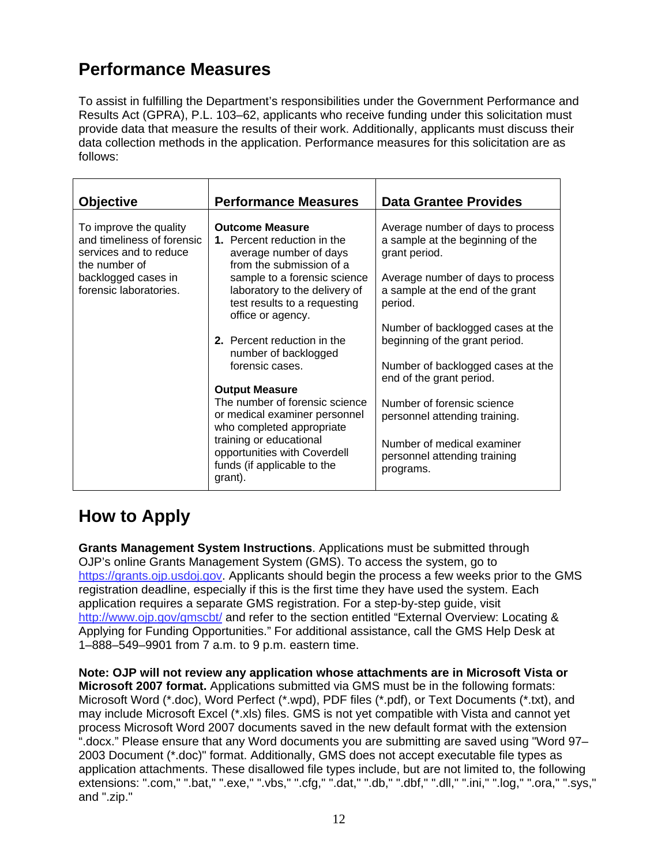## **Performance Measures**

To assist in fulfilling the Department's responsibilities under the Government Performance and Results Act (GPRA), P.L. 103–62, applicants who receive funding under this solicitation must provide data that measure the results of their work. Additionally, applicants must discuss their data collection methods in the application. Performance measures for this solicitation are as follows:

| <b>Objective</b>                                                                                                                                 | <b>Performance Measures</b>                                                                                                                                                  | <b>Data Grantee Provides</b>                                                                                                                                    |
|--------------------------------------------------------------------------------------------------------------------------------------------------|------------------------------------------------------------------------------------------------------------------------------------------------------------------------------|-----------------------------------------------------------------------------------------------------------------------------------------------------------------|
| To improve the quality<br>and timeliness of forensic<br>services and to reduce<br>the number of<br>backlogged cases in<br>forensic laboratories. | <b>Outcome Measure</b><br>1. Percent reduction in the<br>average number of days<br>from the submission of a<br>sample to a forensic science<br>laboratory to the delivery of | Average number of days to process<br>a sample at the beginning of the<br>grant period.<br>Average number of days to process<br>a sample at the end of the grant |
|                                                                                                                                                  | test results to a requesting<br>office or agency.                                                                                                                            | period.                                                                                                                                                         |
|                                                                                                                                                  | 2. Percent reduction in the<br>number of backlogged                                                                                                                          | Number of backlogged cases at the<br>beginning of the grant period.                                                                                             |
|                                                                                                                                                  | forensic cases.                                                                                                                                                              | Number of backlogged cases at the<br>end of the grant period.                                                                                                   |
|                                                                                                                                                  | <b>Output Measure</b><br>The number of forensic science                                                                                                                      |                                                                                                                                                                 |
|                                                                                                                                                  | or medical examiner personnel<br>who completed appropriate                                                                                                                   | Number of forensic science<br>personnel attending training.                                                                                                     |
|                                                                                                                                                  | training or educational<br>opportunities with Coverdell<br>funds (if applicable to the<br>grant).                                                                            | Number of medical examiner<br>personnel attending training<br>programs.                                                                                         |

### **How to Apply**

**Grants Management System Instructions**. Applications must be submitted through OJP's online Grants Management System (GMS). To access the system, go to https://grants.ojp.usdoj.gov. Applicants should begin the process a few weeks prior to the GMS registration deadline, especially if this is the first time they have used the system. Each application requires a separate GMS registration. For a step-by-step guide, visit http://www.ojp.gov/gmscbt/ and refer to the section entitled "External Overview: Locating & Applying for Funding Opportunities." For additional assistance, call the GMS Help Desk at 1–888–549–9901 from 7 a.m. to 9 p.m. eastern time.

**Note: OJP will not review any application whose attachments are in Microsoft Vista or Microsoft 2007 format.** Applications submitted via GMS must be in the following formats: Microsoft Word (\*.doc), Word Perfect (\*.wpd), PDF files (\*.pdf), or Text Documents (\*.txt), and may include Microsoft Excel (\*.xls) files. GMS is not yet compatible with Vista and cannot yet process Microsoft Word 2007 documents saved in the new default format with the extension ".docx." Please ensure that any Word documents you are submitting are saved using "Word 97– 2003 Document (\*.doc)" format. Additionally, GMS does not accept executable file types as application attachments. These disallowed file types include, but are not limited to, the following extensions: ".com," ".bat," ".exe," ".vbs," ".cfg," ".dat," ".db," ".dbf," ".dll," ".ini," ".log," ".ora," ".sys," and ".zip."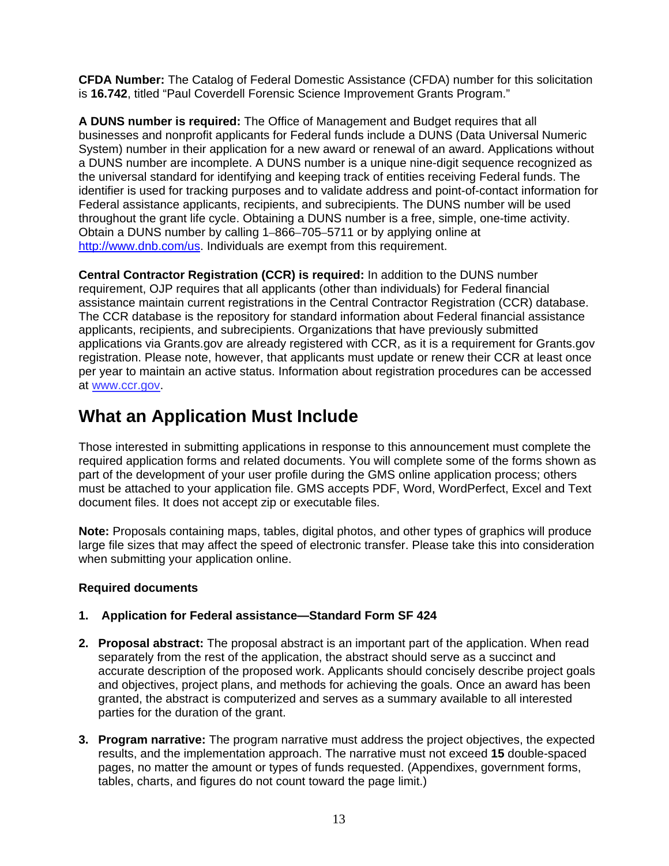<span id="page-12-0"></span>**CFDA Number:** The Catalog of Federal Domestic Assistance (CFDA) number for this solicitation is **16.742**, titled "Paul Coverdell Forensic Science Improvement Grants Program."

**A DUNS number is required:** The Office of Management and Budget requires that all businesses and nonprofit applicants for Federal funds include a DUNS (Data Universal Numeric System) number in their application for a new award or renewal of an award. Applications without a DUNS number are incomplete. A DUNS number is a unique nine-digit sequence recognized as the universal standard for identifying and keeping track of entities receiving Federal funds. The identifier is used for tracking purposes and to validate address and point-of-contact information for Federal assistance applicants, recipients, and subrecipients. The DUNS number will be used throughout the grant life cycle. Obtaining a DUNS number is a free, simple, one-time activity. Obtain a DUNS number by calling 1–866–705–5711 or by applying online at http://www.dnb.com/us. Individuals are exempt from this requirement.

**Central Contractor Registration (CCR) is required:** In addition to the DUNS number requirement, OJP requires that all applicants (other than individuals) for Federal financial assistance maintain current registrations in the Central Contractor Registration (CCR) database. The CCR database is the repository for standard information about Federal financial assistance applicants, recipients, and subrecipients. Organizations that have previously submitted applications via Grants.gov are already registered with CCR, as it is a requirement for Grants.gov registration. Please note, however, that applicants must update or renew their CCR at least once per year to maintain an active status. Information about registration procedures can be accessed at www.ccr.gov.

### **What an Application Must Include**

Those interested in submitting applications in response to this announcement must complete the required application forms and related documents. You will complete some of the forms shown as part of the development of your user profile during the GMS online application process; others must be attached to your application file. GMS accepts PDF, Word, WordPerfect, Excel and Text document files. It does not accept zip or executable files.

**Note:** Proposals containing maps, tables, digital photos, and other types of graphics will produce large file sizes that may affect the speed of electronic transfer. Please take this into consideration when submitting your application online.

#### **Required documents**

#### **1. Application for Federal assistance—Standard Form SF 424**

- **2. Proposal abstract:** The proposal abstract is an important part of the application. When read separately from the rest of the application, the abstract should serve as a succinct and accurate description of the proposed work. Applicants should concisely describe project goals and objectives, project plans, and methods for achieving the goals. Once an award has been granted, the abstract is computerized and serves as a summary available to all interested parties for the duration of the grant.
- **3. Program narrative:** The program narrative must address the project objectives, the expected results, and the implementation approach. The narrative must not exceed **15** double-spaced pages, no matter the amount or types of funds requested. (Appendixes, government forms, tables, charts, and figures do not count toward the page limit.)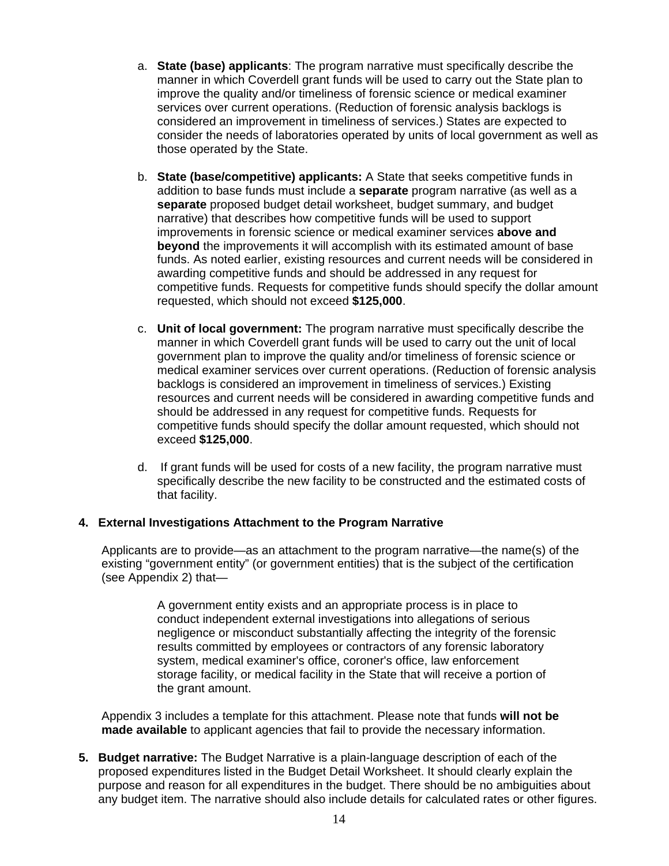- a. **State (base) applicants**: The program narrative must specifically describe the manner in which Coverdell grant funds will be used to carry out the State plan to improve the quality and/or timeliness of forensic science or medical examiner services over current operations. (Reduction of forensic analysis backlogs is considered an improvement in timeliness of services.) States are expected to consider the needs of laboratories operated by units of local government as well as those operated by the State.
- b. **State (base/competitive) applicants:** A State that seeks competitive funds in addition to base funds must include a **separate** program narrative (as well as a **separate** proposed budget detail worksheet, budget summary, and budget narrative) that describes how competitive funds will be used to support improvements in forensic science or medical examiner services **above and beyond** the improvements it will accomplish with its estimated amount of base funds. As noted earlier, existing resources and current needs will be considered in awarding competitive funds and should be addressed in any request for competitive funds. Requests for competitive funds should specify the dollar amount requested, which should not exceed **\$125,000**.
- c. **Unit of local government:** The program narrative must specifically describe the manner in which Coverdell grant funds will be used to carry out the unit of local government plan to improve the quality and/or timeliness of forensic science or medical examiner services over current operations. (Reduction of forensic analysis backlogs is considered an improvement in timeliness of services.) Existing resources and current needs will be considered in awarding competitive funds and should be addressed in any request for competitive funds. Requests for competitive funds should specify the dollar amount requested, which should not exceed **\$125,000**.
- d. If grant funds will be used for costs of a new facility, the program narrative must specifically describe the new facility to be constructed and the estimated costs of that facility.

#### **4. External Investigations Attachment to the Program Narrative**

Applicants are to provide—as an attachment to the program narrative—the name(s) of the existing "government entity" (or government entities) that is the subject of the certification (see Appendix 2) that—

> A government entity exists and an appropriate process is in place to conduct independent external investigations into allegations of serious negligence or misconduct substantially affecting the integrity of the forensic results committed by employees or contractors of any forensic laboratory system, medical examiner's office, coroner's office, law enforcement storage facility, or medical facility in the State that will receive a portion of the grant amount.

Appendix 3 includes a template for this attachment. Please note that funds **will not be made available** to applicant agencies that fail to provide the necessary information.

**5. Budget narrative:** The Budget Narrative is a plain-language description of each of the proposed expenditures listed in the Budget Detail Worksheet. It should clearly explain the purpose and reason for all expenditures in the budget. There should be no ambiguities about any budget item. The narrative should also include details for calculated rates or other figures.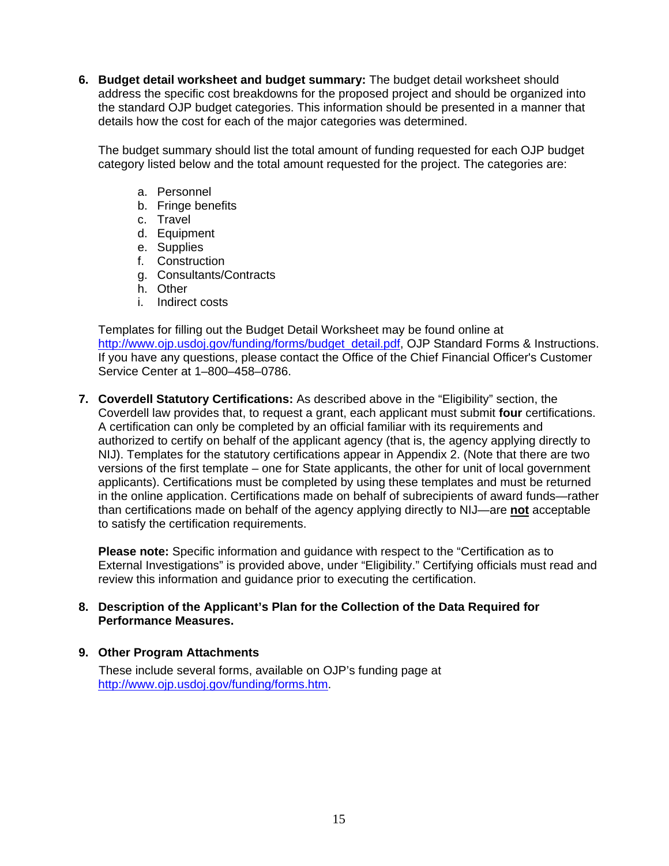**6. Budget detail worksheet and budget summary:** The budget detail worksheet should address the specific cost breakdowns for the proposed project and should be organized into the standard OJP budget categories. This information should be presented in a manner that details how the cost for each of the major categories was determined.

The budget summary should list the total amount of funding requested for each OJP budget category listed below and the total amount requested for the project. The categories are:

- a. Personnel
- b. Fringe benefits
- c. Travel
- d. Equipment
- e. Supplies
- f. Construction
- g. Consultants/Contracts
- h. Other
- i. Indirect costs

Templates for filling out the Budget Detail Worksheet may be found online at http://www.ojp.usdoj.gov/funding/forms/budget\_detail.pdf, OJP Standard Forms & Instructions. If you have any questions, please contact the Office of the Chief Financial Officer's Customer Service Center at 1–800–458–0786.

**7. Coverdell Statutory Certifications:** As described above in the "Eligibility" section, the Coverdell law provides that, to request a grant, each applicant must submit **four** certifications. A certification can only be completed by an official familiar with its requirements and authorized to certify on behalf of the applicant agency (that is, the agency applying directly to NIJ). Templates for the statutory certifications appear in Appendix 2. (Note that there are two versions of the first template – one for State applicants, the other for unit of local government applicants). Certifications must be completed by using these templates and must be returned in the online application. Certifications made on behalf of subrecipients of award funds—rather than certifications made on behalf of the agency applying directly to NIJ—are **not** acceptable to satisfy the certification requirements.

**Please note:** Specific information and guidance with respect to the "Certification as to External Investigations" is provided above, under "Eligibility." Certifying officials must read and review this information and guidance prior to executing the certification.

#### **8. Description of the Applicant's Plan for the Collection of the Data Required for Performance Measures.**

#### **9. Other Program Attachments**

 These include several forms, available on OJP's funding page at http://www.ojp.usdoj.gov/funding/forms.htm.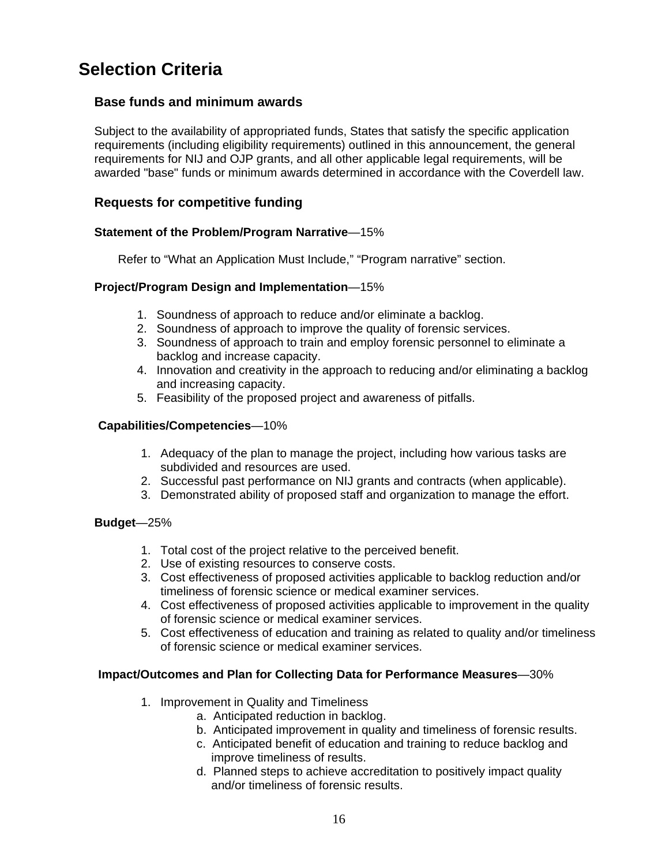### <span id="page-15-0"></span>**Selection Criteria**

#### **Base funds and minimum awards**

Subject to the availability of appropriated funds, States that satisfy the specific application requirements (including eligibility requirements) outlined in this announcement, the general requirements for NIJ and OJP grants, and all other applicable legal requirements, will be awarded "base" funds or minimum awards determined in accordance with the Coverdell law.

#### **Requests for competitive funding**

#### **Statement of the Problem/Program Narrative**—15%

Refer to "What an Application Must Include," "Program narrative" section.

#### **Project/Program Design and Implementation**—15%

- 1. Soundness of approach to reduce and/or eliminate a backlog.
- 2. Soundness of approach to improve the quality of forensic services.
- 3. Soundness of approach to train and employ forensic personnel to eliminate a backlog and increase capacity.
- 4. Innovation and creativity in the approach to reducing and/or eliminating a backlog and increasing capacity.
- 5. Feasibility of the proposed project and awareness of pitfalls.

#### **Capabilities/Competencies**—10%

- 1. Adequacy of the plan to manage the project, including how various tasks are subdivided and resources are used.
- 2. Successful past performance on NIJ grants and contracts (when applicable).
- 3. Demonstrated ability of proposed staff and organization to manage the effort.

#### **Budget**—25%

- 1. Total cost of the project relative to the perceived benefit.
- 2. Use of existing resources to conserve costs.
- 3. Cost effectiveness of proposed activities applicable to backlog reduction and/or timeliness of forensic science or medical examiner services.
- 4. Cost effectiveness of proposed activities applicable to improvement in the quality of forensic science or medical examiner services.
- 5. Cost effectiveness of education and training as related to quality and/or timeliness of forensic science or medical examiner services.

#### **Impact/Outcomes and Plan for Collecting Data for Performance Measures**—30%

- 1. Improvement in Quality and Timeliness
	- a. Anticipated reduction in backlog.
	- b. Anticipated improvement in quality and timeliness of forensic results.
	- c. Anticipated benefit of education and training to reduce backlog and improve timeliness of results.
	- d. Planned steps to achieve accreditation to positively impact quality and/or timeliness of forensic results.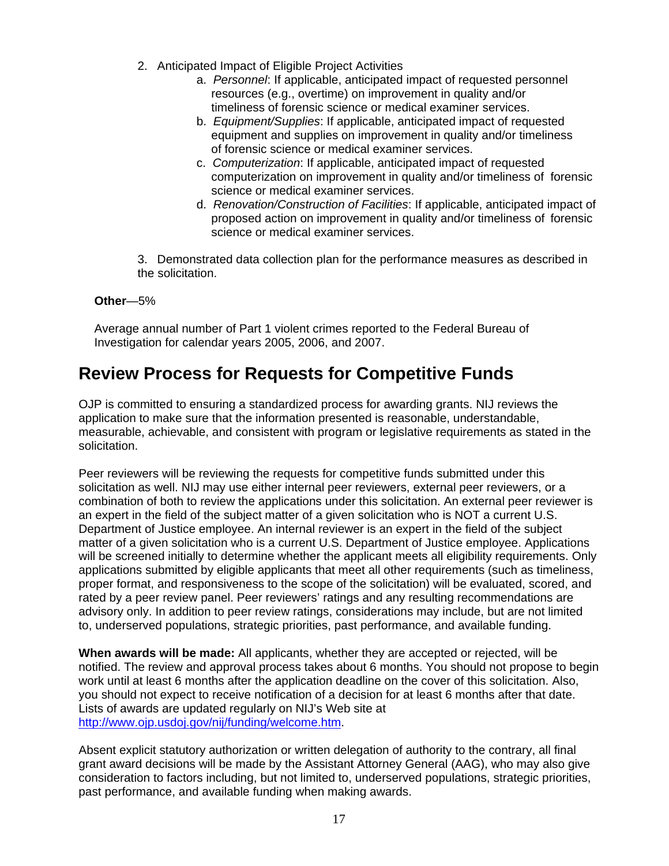- <span id="page-16-0"></span>2. Anticipated Impact of Eligible Project Activities
	- a. *Personnel*: If applicable, anticipated impact of requested personnel resources (e.g., overtime) on improvement in quality and/or timeliness of forensic science or medical examiner services.
	- b. *Equipment/Supplies*: If applicable, anticipated impact of requested equipment and supplies on improvement in quality and/or timeliness of forensic science or medical examiner services.
	- c. *Computerization*: If applicable, anticipated impact of requested computerization on improvement in quality and/or timeliness of forensic science or medical examiner services.
	- d. *Renovation/Construction of Facilities*: If applicable, anticipated impact of proposed action on improvement in quality and/or timeliness of forensic science or medical examiner services.

3. Demonstrated data collection plan for the performance measures as described in the solicitation.

#### **Other**—5%

Average annual number of Part 1 violent crimes reported to the Federal Bureau of Investigation for calendar years 2005, 2006, and 2007.

### **Review Process for Requests for Competitive Funds**

OJP is committed to ensuring a standardized process for awarding grants. NIJ reviews the application to make sure that the information presented is reasonable, understandable, measurable, achievable, and consistent with program or legislative requirements as stated in the solicitation.

Peer reviewers will be reviewing the requests for competitive funds submitted under this solicitation as well. NIJ may use either internal peer reviewers, external peer reviewers, or a combination of both to review the applications under this solicitation. An external peer reviewer is an expert in the field of the subject matter of a given solicitation who is NOT a current U.S. Department of Justice employee. An internal reviewer is an expert in the field of the subject matter of a given solicitation who is a current U.S. Department of Justice employee. Applications will be screened initially to determine whether the applicant meets all eligibility requirements. Only applications submitted by eligible applicants that meet all other requirements (such as timeliness, proper format, and responsiveness to the scope of the solicitation) will be evaluated, scored, and rated by a peer review panel. Peer reviewers' ratings and any resulting recommendations are advisory only. In addition to peer review ratings, considerations may include, but are not limited to, underserved populations, strategic priorities, past performance, and available funding.

**When awards will be made:** All applicants, whether they are accepted or rejected, will be notified. The review and approval process takes about 6 months. You should not propose to begin work until at least 6 months after the application deadline on the cover of this solicitation. Also, you should not expect to receive notification of a decision for at least 6 months after that date. Lists of awards are updated regularly on NIJ's Web site at http://www.ojp.usdoj.gov/nij/funding/welcome.htm.

Absent explicit statutory authorization or written delegation of authority to the contrary, all final grant award decisions will be made by the Assistant Attorney General (AAG), who may also give consideration to factors including, but not limited to, underserved populations, strategic priorities, past performance, and available funding when making awards.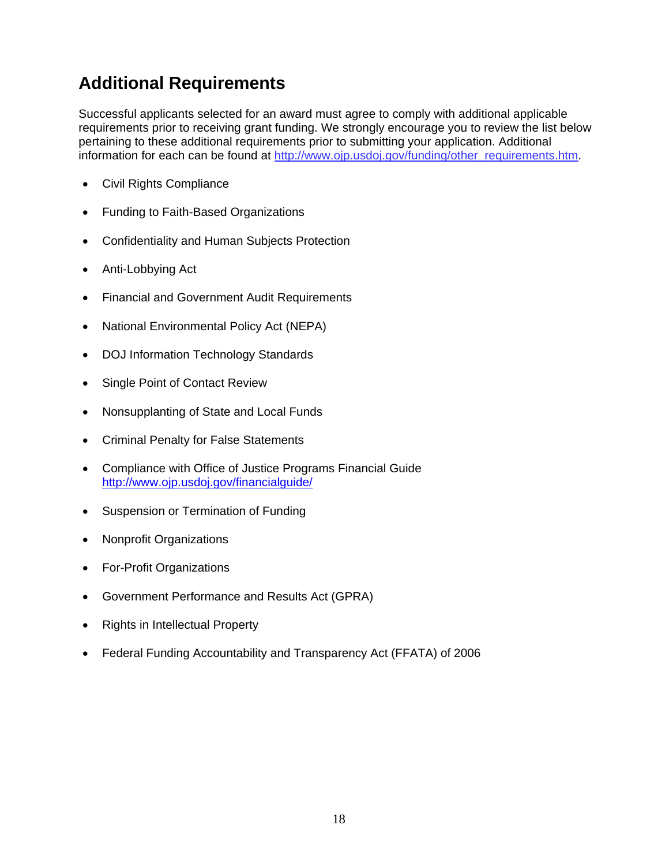### <span id="page-17-0"></span>**Additional Requirements**

Successful applicants selected for an award must agree to comply with additional applicable requirements prior to receiving grant funding. We strongly encourage you to review the list below pertaining to these additional requirements prior to submitting your application. Additional information for each can be found at http://www.ojp.usdoj.gov/funding/other\_requirements.htm.

- Civil Rights Compliance
- Funding to Faith-Based Organizations
- Confidentiality and Human Subjects Protection
- Anti-Lobbying Act
- Financial and Government Audit Requirements
- National Environmental Policy Act (NEPA)
- DOJ Information Technology Standards
- Single Point of Contact Review
- Nonsupplanting of State and Local Funds
- Criminal Penalty for False Statements
- Compliance with Office of Justice Programs Financial Guide http://www.ojp.usdoj.gov/financialguide/
- Suspension or Termination of Funding
- Nonprofit Organizations
- For-Profit Organizations
- Government Performance and Results Act (GPRA)
- Rights in Intellectual Property
- Federal Funding Accountability and Transparency Act (FFATA) of 2006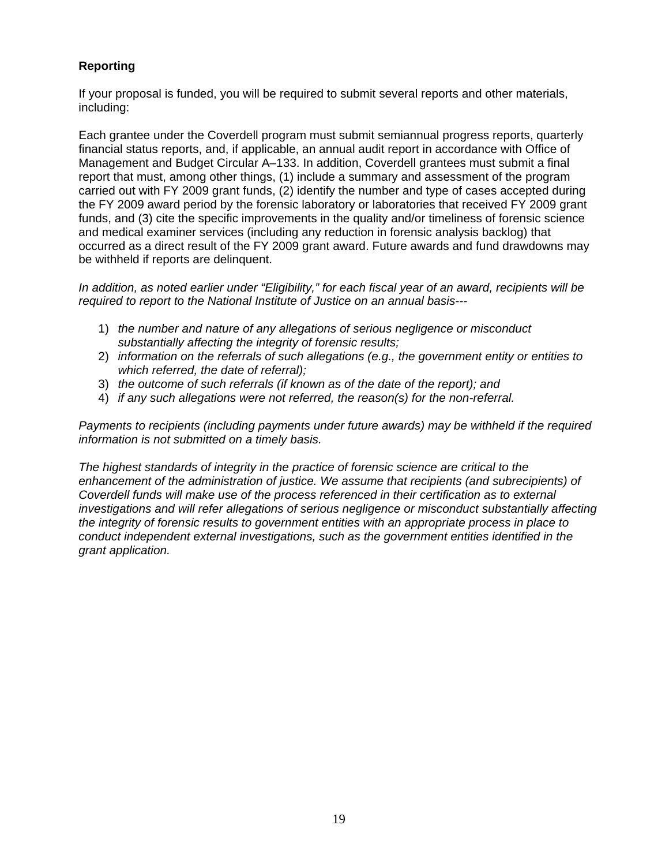#### **Reporting**

If your proposal is funded, you will be required to submit several reports and other materials, including:

Each grantee under the Coverdell program must submit semiannual progress reports, quarterly financial status reports, and, if applicable, an annual audit report in accordance with Office of Management and Budget Circular A–133. In addition, Coverdell grantees must submit a final report that must, among other things, (1) include a summary and assessment of the program carried out with FY 2009 grant funds, (2) identify the number and type of cases accepted during the FY 2009 award period by the forensic laboratory or laboratories that received FY 2009 grant funds, and (3) cite the specific improvements in the quality and/or timeliness of forensic science and medical examiner services (including any reduction in forensic analysis backlog) that occurred as a direct result of the FY 2009 grant award. Future awards and fund drawdowns may be withheld if reports are delinquent.

*In addition, as noted earlier under "Eligibility," for each fiscal year of an award, recipients will be required to report to the National Institute of Justice on an annual basis---*

- 1) *the number and nature of any allegations of serious negligence or misconduct substantially affecting the integrity of forensic results;*
- 2) *information on the referrals of such allegations (e.g., the government entity or entities to which referred, the date of referral);*
- 3) *the outcome of such referrals (if known as of the date of the report); and*
- 4) *if any such allegations were not referred, the reason(s) for the non-referral.*

*Payments to recipients (including payments under future awards) may be withheld if the required information is not submitted on a timely basis.* 

*The highest standards of integrity in the practice of forensic science are critical to the enhancement of the administration of justice. We assume that recipients (and subrecipients) of Coverdell funds will make use of the process referenced in their certification as to external investigations and will refer allegations of serious negligence or misconduct substantially affecting the integrity of forensic results to government entities with an appropriate process in place to conduct independent external investigations, such as the government entities identified in the grant application.*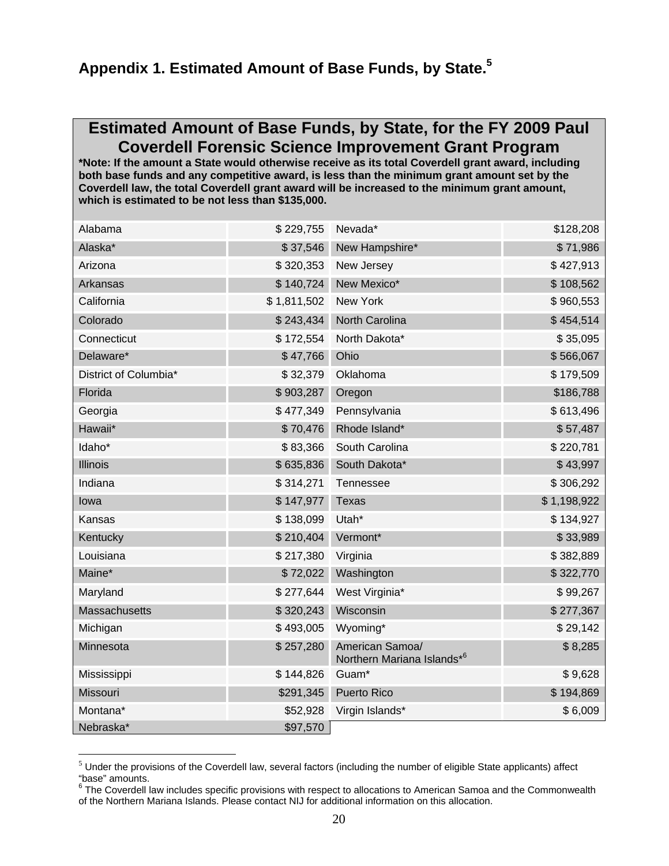### <span id="page-19-0"></span>**Appendix 1. Estimated Amount of Base Funds, by State.5**

### **Estimated Amount of Base Funds, by State, for the FY 2009 Paul Coverdell Forensic Science Improvement Grant Program**

**\*Note: If the amount a State would otherwise receive as its total Coverdell grant award, including both base funds and any competitive award, is less than the minimum grant amount set by the Coverdell law, the total Coverdell grant award will be increased to the minimum grant amount, which is estimated to be not less than \$135,000.** 

| Alabama               | \$229,755   | Nevada*                                       | \$128,208   |
|-----------------------|-------------|-----------------------------------------------|-------------|
| Alaska*               | \$37,546    | New Hampshire*                                | \$71,986    |
| Arizona               | \$320,353   | New Jersey                                    | \$427,913   |
| Arkansas              | \$140,724   | New Mexico*                                   | \$108,562   |
| California            | \$1,811,502 | New York                                      | \$960,553   |
| Colorado              | \$243,434   | North Carolina                                | \$454,514   |
| Connecticut           | \$172,554   | North Dakota*                                 | \$35,095    |
| Delaware*             | \$47,766    | Ohio                                          | \$566,067   |
| District of Columbia* | \$32,379    | Oklahoma                                      | \$179,509   |
| Florida               | \$903,287   | Oregon                                        | \$186,788   |
| Georgia               | \$477,349   | Pennsylvania                                  | \$613,496   |
| Hawaii*               | \$70,476    | Rhode Island*                                 | \$57,487    |
| Idaho*                | \$83,366    | South Carolina                                | \$220,781   |
| <b>Illinois</b>       | \$635,836   | South Dakota*                                 | \$43,997    |
| Indiana               | \$314,271   | Tennessee                                     | \$306,292   |
| lowa                  | \$147,977   | <b>Texas</b>                                  | \$1,198,922 |
| Kansas                | \$138,099   | Utah*                                         | \$134,927   |
| Kentucky              | \$210,404   | Vermont*                                      | \$33,989    |
| Louisiana             | \$217,380   | Virginia                                      | \$382,889   |
| Maine*                | \$72,022    | Washington                                    | \$322,770   |
| Maryland              | \$277,644   | West Virginia*                                | \$99,267    |
| <b>Massachusetts</b>  | \$320,243   | Wisconsin                                     | \$277,367   |
| Michigan              | \$493,005   | Wyoming*                                      | \$29,142    |
| Minnesota             | \$257,280   | American Samoa/<br>Northern Mariana Islands*6 | \$8,285     |
| Mississippi           | \$144,826   | Guam*                                         | \$9,628     |
| Missouri              | \$291,345   | Puerto Rico                                   | \$194,869   |
| Montana*              | \$52,928    | Virgin Islands*                               | \$6,009     |
| Nebraska*             | \$97,570    |                                               |             |

 $<sup>5</sup>$  Under the provisions of the Coverdell law, several factors (including the number of eligible State applicants) affect</sup>

<sup>&</sup>quot;base" amounts.<br><sup>6</sup> The Coverdell law includes specific provisions with respect to allocations to American Samoa and the Commonwealth of the Northern Mariana Islands. Please contact NIJ for additional information on this allocation.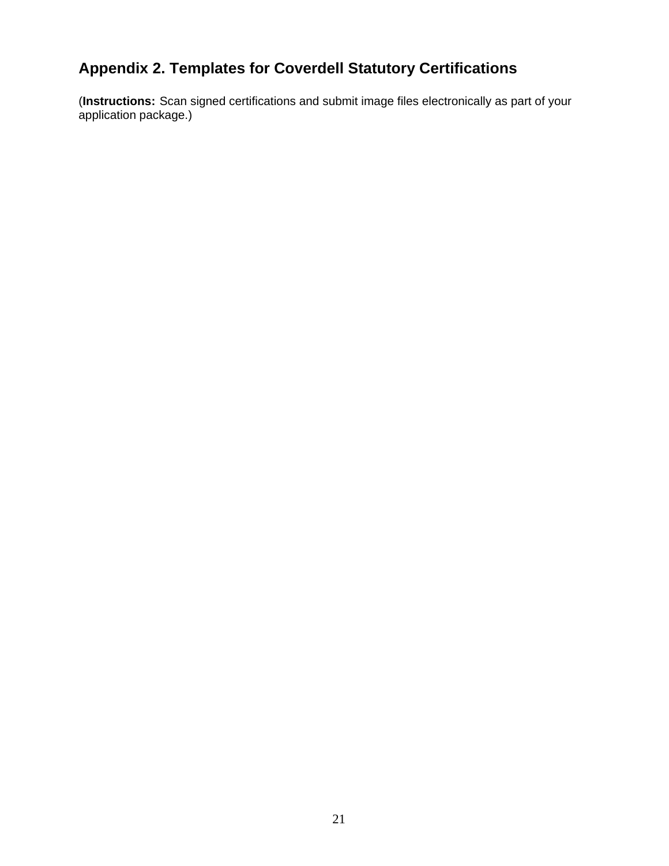### **Appendix 2. Templates for Coverdell Statutory Certifications**

(**Instructions:** Scan signed certifications and submit image files electronically as part of your application package.)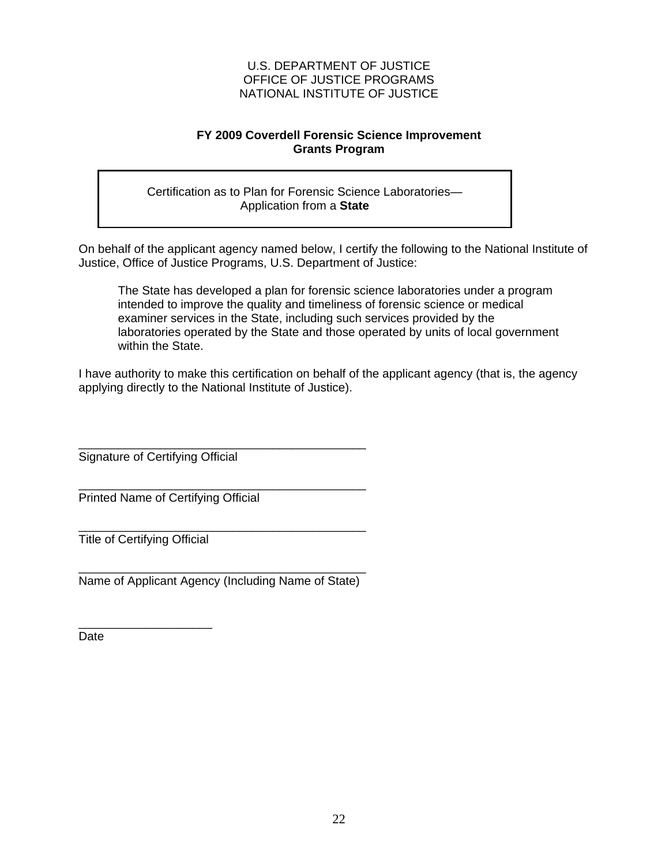#### **FY 2009 Coverdell Forensic Science Improvement Grants Program**

Certification as to Plan for Forensic Science Laboratories— Application from a **State** 

On behalf of the applicant agency named below, I certify the following to the National Institute of Justice, Office of Justice Programs, U.S. Department of Justice:

The State has developed a plan for forensic science laboratories under a program intended to improve the quality and timeliness of forensic science or medical examiner services in the State, including such services provided by the laboratories operated by the State and those operated by units of local government within the State.

I have authority to make this certification on behalf of the applicant agency (that is, the agency applying directly to the National Institute of Justice).

\_\_\_\_\_\_\_\_\_\_\_\_\_\_\_\_\_\_\_\_\_\_\_\_\_\_\_\_\_\_\_\_\_\_\_\_\_\_\_\_\_\_\_ Signature of Certifying Official

\_\_\_\_\_\_\_\_\_\_\_\_\_\_\_\_\_\_\_\_\_\_\_\_\_\_\_\_\_\_\_\_\_\_\_\_\_\_\_\_\_\_\_ Printed Name of Certifying Official

\_\_\_\_\_\_\_\_\_\_\_\_\_\_\_\_\_\_\_\_\_\_\_\_\_\_\_\_\_\_\_\_\_\_\_\_\_\_\_\_\_\_\_ Title of Certifying Official

\_\_\_\_\_\_\_\_\_\_\_\_\_\_\_\_\_\_\_\_

\_\_\_\_\_\_\_\_\_\_\_\_\_\_\_\_\_\_\_\_\_\_\_\_\_\_\_\_\_\_\_\_\_\_\_\_\_\_\_\_\_\_\_ Name of Applicant Agency (Including Name of State)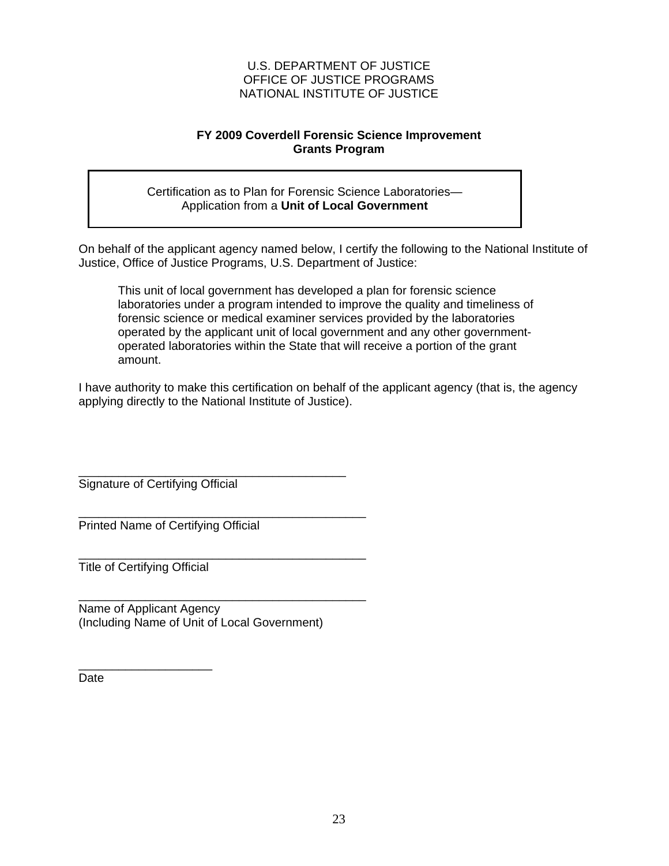#### **FY 2009 Coverdell Forensic Science Improvement Grants Program**

Certification as to Plan for Forensic Science Laboratories— Application from a **Unit of Local Government**

On behalf of the applicant agency named below, I certify the following to the National Institute of Justice, Office of Justice Programs, U.S. Department of Justice:

This unit of local government has developed a plan for forensic science laboratories under a program intended to improve the quality and timeliness of forensic science or medical examiner services provided by the laboratories operated by the applicant unit of local government and any other governmentoperated laboratories within the State that will receive a portion of the grant amount.

I have authority to make this certification on behalf of the applicant agency (that is, the agency applying directly to the National Institute of Justice).

\_\_\_\_\_\_\_\_\_\_\_\_\_\_\_\_\_\_\_\_\_\_\_\_\_\_\_\_\_\_\_\_\_\_\_\_\_\_\_\_ Signature of Certifying Official

Printed Name of Certifying Official

Title of Certifying Official

\_\_\_\_\_\_\_\_\_\_\_\_\_\_\_\_\_\_\_\_

\_\_\_\_\_\_\_\_\_\_\_\_\_\_\_\_\_\_\_\_\_\_\_\_\_\_\_\_\_\_\_\_\_\_\_\_\_\_\_\_\_\_\_ Name of Applicant Agency (Including Name of Unit of Local Government)

\_\_\_\_\_\_\_\_\_\_\_\_\_\_\_\_\_\_\_\_\_\_\_\_\_\_\_\_\_\_\_\_\_\_\_\_\_\_\_\_\_\_\_

\_\_\_\_\_\_\_\_\_\_\_\_\_\_\_\_\_\_\_\_\_\_\_\_\_\_\_\_\_\_\_\_\_\_\_\_\_\_\_\_\_\_\_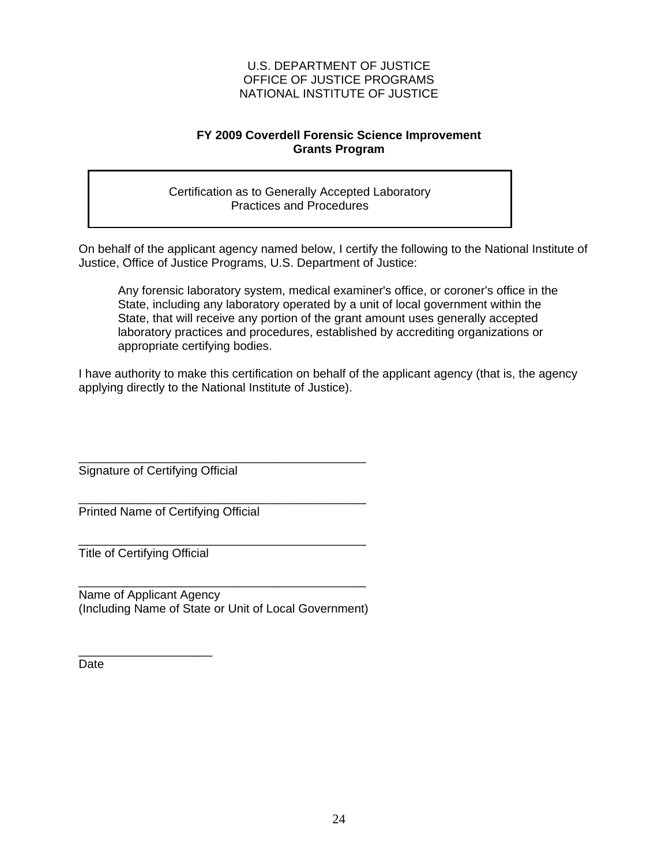#### **FY 2009 Coverdell Forensic Science Improvement Grants Program**

Certification as to Generally Accepted Laboratory Practices and Procedures

On behalf of the applicant agency named below, I certify the following to the National Institute of Justice, Office of Justice Programs, U.S. Department of Justice:

Any forensic laboratory system, medical examiner's office, or coroner's office in the State, including any laboratory operated by a unit of local government within the State, that will receive any portion of the grant amount uses generally accepted laboratory practices and procedures, established by accrediting organizations or appropriate certifying bodies.

I have authority to make this certification on behalf of the applicant agency (that is, the agency applying directly to the National Institute of Justice).

Signature of Certifying Official

\_\_\_\_\_\_\_\_\_\_\_\_\_\_\_\_\_\_\_\_\_\_\_\_\_\_\_\_\_\_\_\_\_\_\_\_\_\_\_\_\_\_\_ Printed Name of Certifying Official

\_\_\_\_\_\_\_\_\_\_\_\_\_\_\_\_\_\_\_\_\_\_\_\_\_\_\_\_\_\_\_\_\_\_\_\_\_\_\_\_\_\_\_ Title of Certifying Official

\_\_\_\_\_\_\_\_\_\_\_\_\_\_\_\_\_\_\_\_

\_\_\_\_\_\_\_\_\_\_\_\_\_\_\_\_\_\_\_\_\_\_\_\_\_\_\_\_\_\_\_\_\_\_\_\_\_\_\_\_\_\_\_ Name of Applicant Agency (Including Name of State or Unit of Local Government)

\_\_\_\_\_\_\_\_\_\_\_\_\_\_\_\_\_\_\_\_\_\_\_\_\_\_\_\_\_\_\_\_\_\_\_\_\_\_\_\_\_\_\_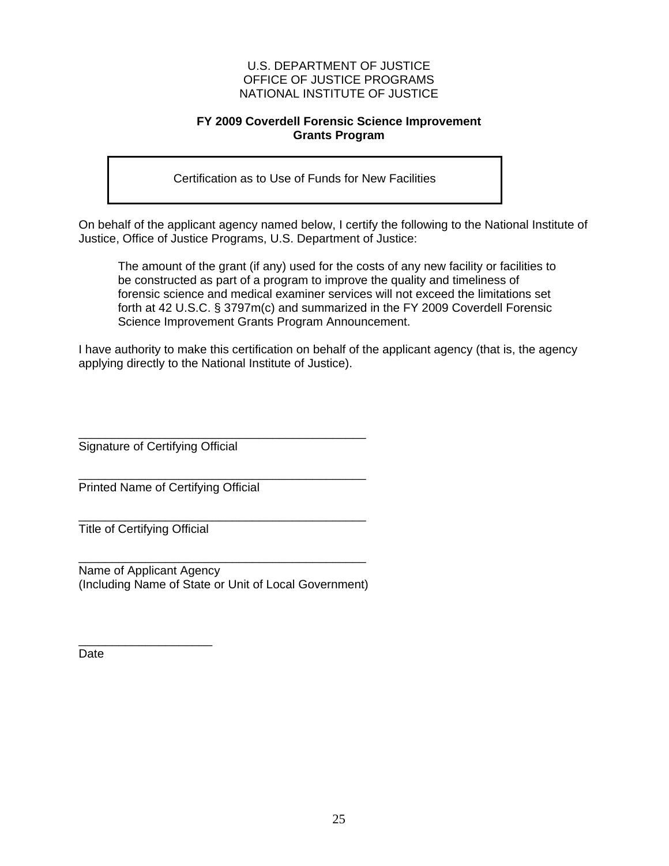#### **FY 2009 Coverdell Forensic Science Improvement Grants Program**

Certification as to Use of Funds for New Facilities

On behalf of the applicant agency named below, I certify the following to the National Institute of Justice, Office of Justice Programs, U.S. Department of Justice:

The amount of the grant (if any) used for the costs of any new facility or facilities to be constructed as part of a program to improve the quality and timeliness of forensic science and medical examiner services will not exceed the limitations set forth at 42 U.S.C. § 3797m(c) and summarized in the FY 2009 Coverdell Forensic Science Improvement Grants Program Announcement.

I have authority to make this certification on behalf of the applicant agency (that is, the agency applying directly to the National Institute of Justice).

\_\_\_\_\_\_\_\_\_\_\_\_\_\_\_\_\_\_\_\_\_\_\_\_\_\_\_\_\_\_\_\_\_\_\_\_\_\_\_\_\_\_\_ Signature of Certifying Official

\_\_\_\_\_\_\_\_\_\_\_\_\_\_\_\_\_\_\_\_\_\_\_\_\_\_\_\_\_\_\_\_\_\_\_\_\_\_\_\_\_\_\_ Printed Name of Certifying Official

\_\_\_\_\_\_\_\_\_\_\_\_\_\_\_\_\_\_\_\_\_\_\_\_\_\_\_\_\_\_\_\_\_\_\_\_\_\_\_\_\_\_\_ Title of Certifying Official

\_\_\_\_\_\_\_\_\_\_\_\_\_\_\_\_\_\_\_\_

\_\_\_\_\_\_\_\_\_\_\_\_\_\_\_\_\_\_\_\_\_\_\_\_\_\_\_\_\_\_\_\_\_\_\_\_\_\_\_\_\_\_\_ Name of Applicant Agency (Including Name of State or Unit of Local Government)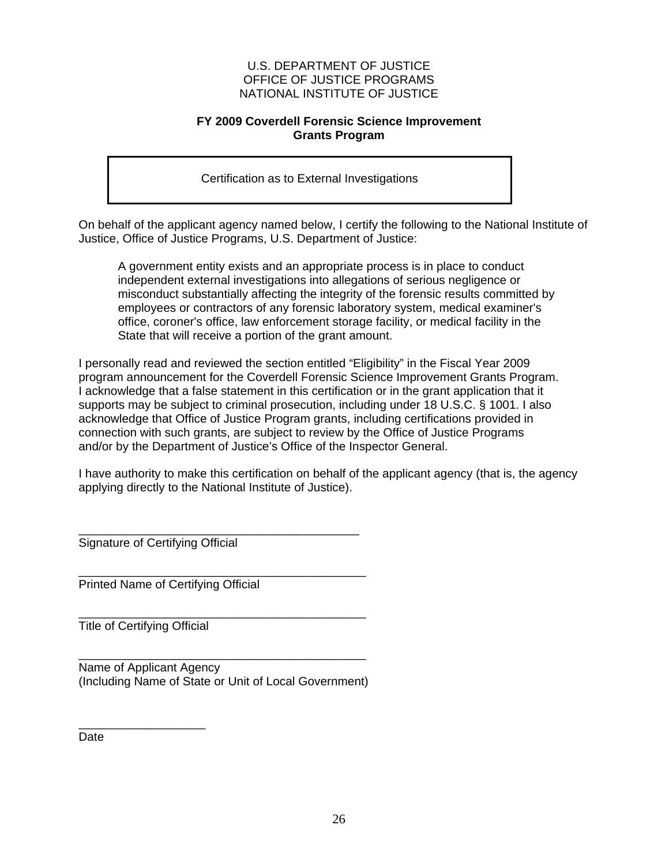#### **FY 2009 Coverdell Forensic Science Improvement Grants Program**

Certification as to External Investigations

On behalf of the applicant agency named below, I certify the following to the National Institute of Justice, Office of Justice Programs, U.S. Department of Justice:

A government entity exists and an appropriate process is in place to conduct independent external investigations into allegations of serious negligence or misconduct substantially affecting the integrity of the forensic results committed by employees or contractors of any forensic laboratory system, medical examiner's office, coroner's office, law enforcement storage facility, or medical facility in the State that will receive a portion of the grant amount.

I personally read and reviewed the section entitled "Eligibility" in the Fiscal Year 2009 program announcement for the Coverdell Forensic Science Improvement Grants Program. I acknowledge that a false statement in this certification or in the grant application that it supports may be subject to criminal prosecution, including under 18 U.S.C. § 1001. I also acknowledge that Office of Justice Program grants, including certifications provided in connection with such grants, are subject to review by the Office of Justice Programs and/or by the Department of Justice's Office of the Inspector General.

I have authority to make this certification on behalf of the applicant agency (that is, the agency applying directly to the National Institute of Justice).

\_\_\_\_\_\_\_\_\_\_\_\_\_\_\_\_\_\_\_\_\_\_\_\_\_\_\_\_\_\_\_\_\_\_\_\_\_\_\_\_\_\_ Signature of Certifying Official

\_\_\_\_\_\_\_\_\_\_\_\_\_\_\_\_\_\_\_\_\_\_\_\_\_\_\_\_\_\_\_\_\_\_\_\_\_\_\_\_\_\_\_ Printed Name of Certifying Official

\_\_\_\_\_\_\_\_\_\_\_\_\_\_\_\_\_\_\_\_\_\_\_\_\_\_\_\_\_\_\_\_\_\_\_\_\_\_\_\_\_\_\_ Title of Certifying Official

| Name of Applicant Agency                              |
|-------------------------------------------------------|
| (Including Name of State or Unit of Local Government) |

\_\_\_\_\_\_\_\_\_\_\_\_\_\_\_\_\_\_\_ **Date**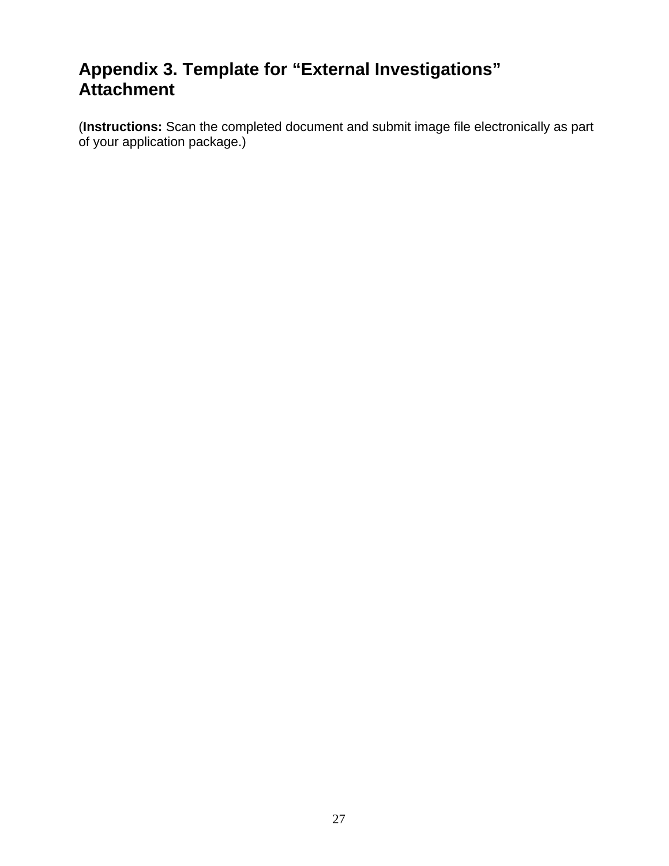### **Appendix 3. Template for "External Investigations" Attachment**

(**Instructions:** Scan the completed document and submit image file electronically as part of your application package.)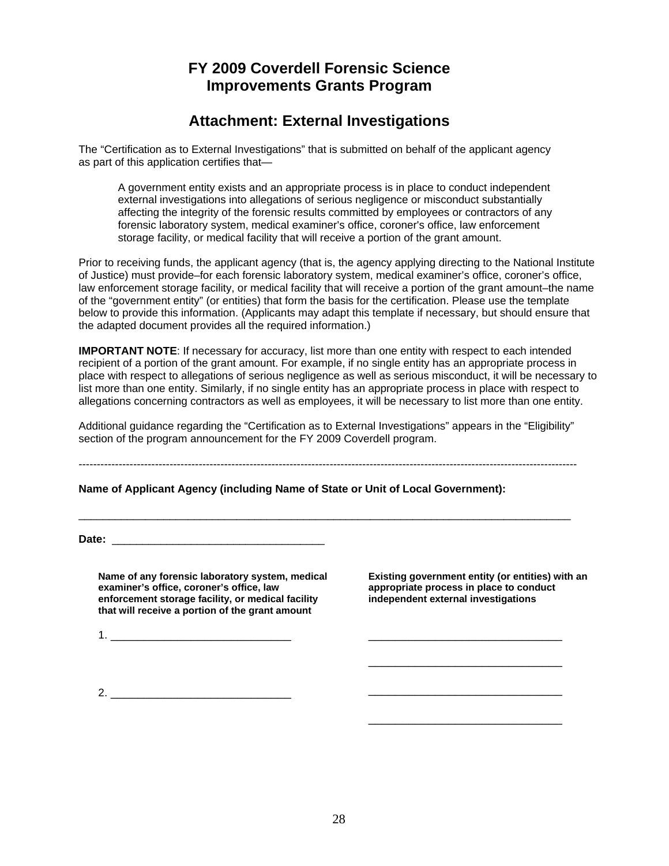### **FY 2009 Coverdell Forensic Science Improvements Grants Program**

### **Attachment: External Investigations**

The "Certification as to External Investigations" that is submitted on behalf of the applicant agency as part of this application certifies that—

A government entity exists and an appropriate process is in place to conduct independent external investigations into allegations of serious negligence or misconduct substantially affecting the integrity of the forensic results committed by employees or contractors of any forensic laboratory system, medical examiner's office, coroner's office, law enforcement storage facility, or medical facility that will receive a portion of the grant amount.

Prior to receiving funds, the applicant agency (that is, the agency applying directing to the National Institute of Justice) must provide–for each forensic laboratory system, medical examiner's office, coroner's office, law enforcement storage facility, or medical facility that will receive a portion of the grant amount–the name of the "government entity" (or entities) that form the basis for the certification. Please use the template below to provide this information. (Applicants may adapt this template if necessary, but should ensure that the adapted document provides all the required information.)

**IMPORTANT NOTE**: If necessary for accuracy, list more than one entity with respect to each intended recipient of a portion of the grant amount. For example, if no single entity has an appropriate process in place with respect to allegations of serious negligence as well as serious misconduct, it will be necessary to list more than one entity. Similarly, if no single entity has an appropriate process in place with respect to allegations concerning contractors as well as employees, it will be necessary to list more than one entity.

Additional guidance regarding the "Certification as to External Investigations" appears in the "Eligibility" section of the program announcement for the FY 2009 Coverdell program.

 $-1-\frac{1}{2}$ 

\_\_\_\_\_\_\_\_\_\_\_\_\_\_\_\_\_\_\_\_\_\_\_\_\_\_\_\_\_\_\_\_\_\_\_\_\_\_\_\_\_\_\_\_\_\_\_\_\_\_\_\_\_\_\_\_\_\_\_\_\_\_\_\_\_\_\_\_\_\_\_\_\_\_\_\_\_\_\_\_\_

**Name of Applicant Agency (including Name of State or Unit of Local Government):** 

Date:

Name of any forensic laboratory system, medical Existing government entity (or entities) with an examiner's office sexting abortopriate process in place to conduct enforcement storage facility, or medical facility **that will receive a portion of the grant amount** 

appropriate process in place to conduct<br>independent external investigations

\_\_\_\_\_\_\_\_\_\_\_\_\_\_\_\_\_\_\_\_\_\_\_\_\_\_\_\_\_

\_\_\_\_\_\_\_\_\_\_\_\_\_\_\_\_\_\_\_\_\_\_\_\_\_\_\_\_\_

\_\_\_\_\_\_\_\_\_\_\_\_\_\_\_\_\_\_\_\_\_\_\_\_\_\_\_\_\_

1. \_\_\_\_\_\_\_\_\_\_\_\_\_\_\_\_\_\_\_\_\_\_\_\_\_\_\_ \_\_\_\_\_\_\_\_\_\_\_\_\_\_\_\_\_\_\_\_\_\_\_\_\_\_\_\_\_

 $2.$